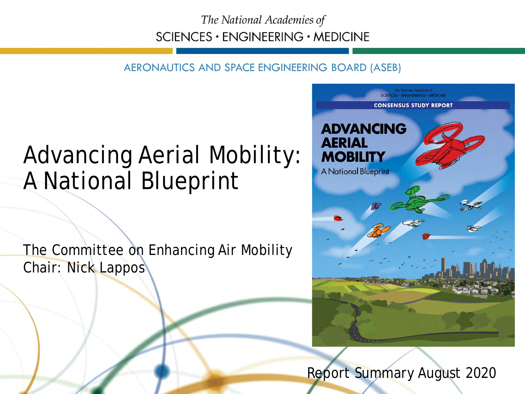The National Academies of SCIENCES · ENGINEERING · MEDICINE

AERONAUTICS AND SPACE ENGINEERING BOARD (ASEB)

#### Advancing Aerial Mobility: A National Blueprint

The Committee on Enhancing Air Mobility Chair: Nick Lappos



Report Summary August 2020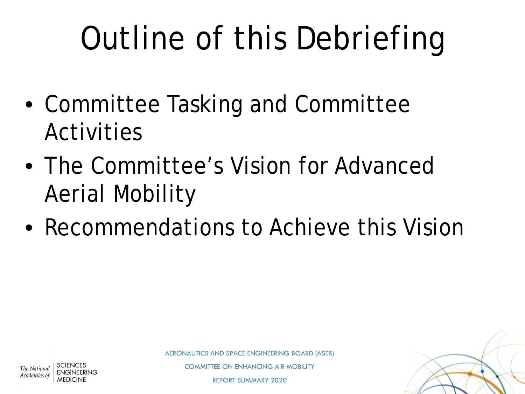# Outline of this Debriefing

- Committee Tasking and Committee Activities
- The Committee's Vision for Advanced Aerial Mobility
- Recommendations to Achieve this Vision



COMMITTEE ON ENHANCING AIR MOBILITY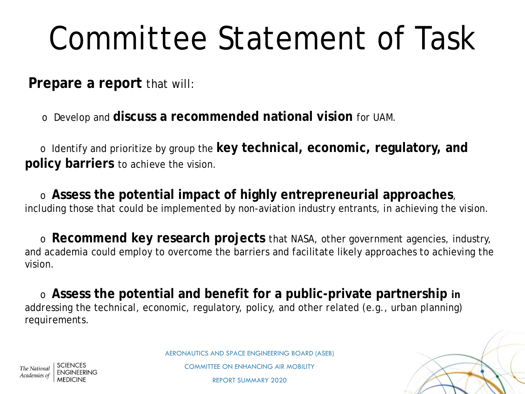# Committee Statement of Task

**Prepare a report** that will:

o Develop and **discuss a recommended national vision** for UAM.

o Identify and prioritize by group the **key technical, economic, regulatory, and policy barriers** to achieve the vision.

o **Assess the potential impact of highly entrepreneurial approaches**, including those that could be implemented by non-aviation industry entrants, in achieving the vision.

o **Recommend key research projects** that NASA, other government agencies, industry, and academia could employ to overcome the barriers and facilitate likely approaches to achieving the vision.

o **Assess the potential and benefit for a public-private partnership in**  addressing the technical, economic, regulatory, policy, and other related (e.g., urban planning) requirements.



AERONAUTICS AND SPACE ENGINEERING BOARD (ASEB)

COMMITTEE ON ENHANCING AIR MOBILITY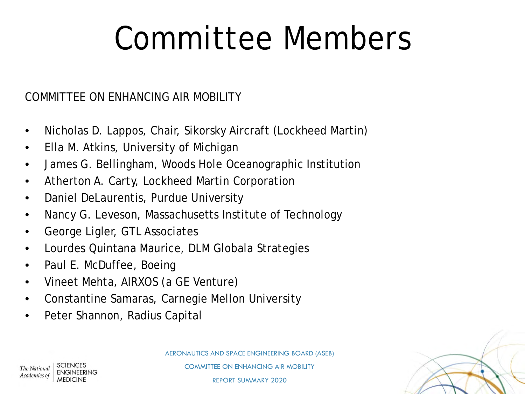## Committee Members

#### COMMITTEE ON ENHANCING AIR MOBILITY

- Nicholas D. Lappos, Chair, Sikorsky Aircraft (Lockheed Martin)
- Ella M. Atkins, University of Michigan
- James G. Bellingham, Woods Hole Oceanographic Institution
- Atherton A. Carty, Lockheed Martin Corporation
- Daniel DeLaurentis, Purdue University
- Nancy G. Leveson, Massachusetts Institute of Technology
- George Ligler, GTL Associates
- Lourdes Quintana Maurice, DLM Globala Strategies
- Paul E. McDuffee, Boeing
- Vineet Mehta, AIRXOS (a GE Venture)
- Constantine Samaras, Carnegie Mellon University
- Peter Shannon, Radius Capital



AERONAUTICS AND SPACE ENGINEERING BOARD (ASEB)

The National Academies of

COMMITTEE ON ENHANCING AIR MOBILITY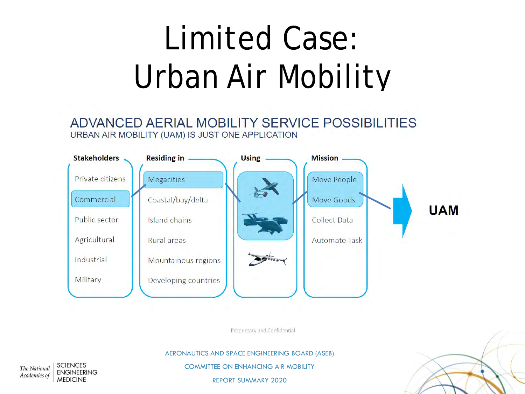# Limited Case: Urban Air Mobility

ADVANCED AERIAL MOBILITY SERVICE POSSIBILITIES URBAN AIR MOBILITY (UAM) IS JUST ONE APPLICATION



Proprietary and Confidential

AERONAUTICS AND SPACE ENGINEERING BOARD (ASEB)

COMMITTEE ON ENHANCING AIR MOBILITY

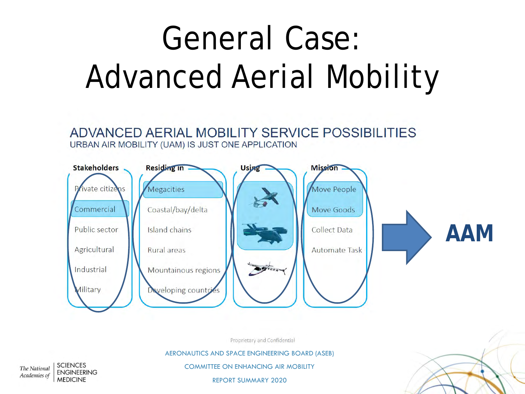# General Case: Advanced Aerial Mobility

ADVANCED AERIAL MOBILITY SERVICE POSSIBILITIES URBAN AIR MOBILITY (UAM) IS JUST ONE APPLICATION



Proprietary and Confidential

AERONAUTICS AND SPACE ENGINEERING BOARD (ASEB)

**SCIENCES** The National **ENGINEERING** Academies of **MEDICINE** 

COMMITTEE ON ENHANCING AIR MOBILITY

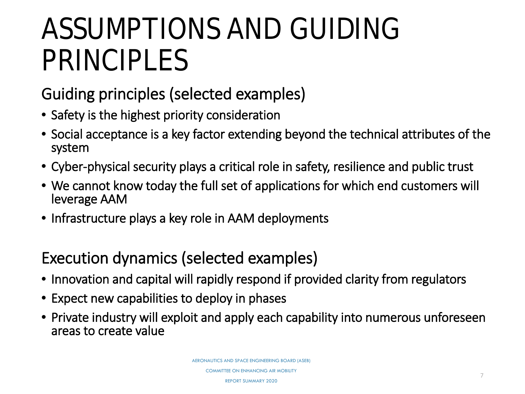#### ASSUMPTIONS AND GUIDING PRINCIPLES

Guiding principles (selected examples)

- Safety is the highest priority consideration
- Social acceptance is a key factor extending beyond the technical attributes of the system
- Cyber-physical security plays a critical role in safety, resilience and public trust
- We cannot know today the full set of applications for which end customers will leverage AAM
- Infrastructure plays a key role in AAM deployments

#### Execution dynamics (selected examples)

- Innovation and capital will rapidly respond if provided clarity from regulators
- Expect new capabilities to deploy in phases
- Private industry will exploit and apply each capability into numerous unforeseen areas to create value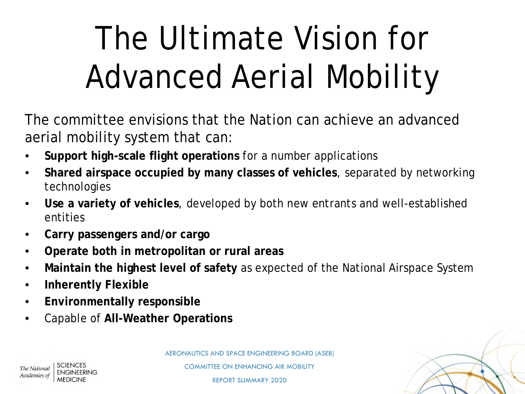# The Ultimate Vision for Advanced Aerial Mobility

The committee envisions that the Nation can achieve an advanced aerial mobility system that can:

- **Support high-scale flight operations** for a number applications
- **Shared airspace occupied by many classes of vehicles**, separated by networking technologies
- **Use a variety of vehicles**, developed by both new entrants and well-established entities
- **Carry passengers and/or cargo**
- **Operate both in metropolitan or rural areas**
- **Maintain the highest level of safety** as expected of the National Airspace System
- **Inherently Flexible**
- **Environmentally responsible**
- Capable of **All-Weather Operations**





The National Academies of

COMMITTEE ON ENHANCING AIR MOBILITY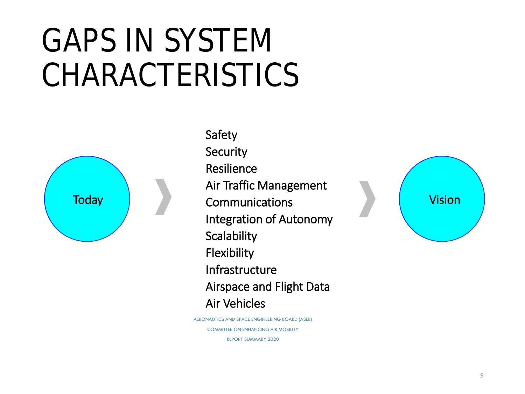### GAPS IN SYSTEM CHARACTERISTICS



Safety **Security** Resilience Air Traffic Management Today Reserves Communications and the Vision Integration of Autonomy **Scalability Flexibility** Infrastructure Airspace and Flight Data Air Vehicles

> AERONAUTICS AND SPACE ENGINEERING BOARD (ASEB) COMMITTEE ON ENHANCING AIR MOBILITY REPORT SUMMARY 2020

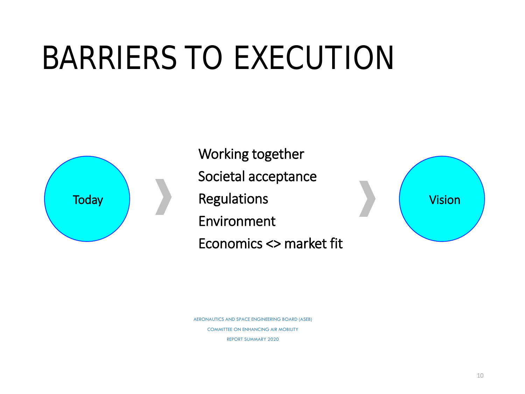## BARRIERS TO EXECUTION



Working together Societal acceptance Regulations Environment Economics <> market fit



AERONAUTICS AND SPACE ENGINEERING BOARD (ASEB) COMMITTEE ON ENHANCING AIR MOBILITY REPORT SUMMARY 2020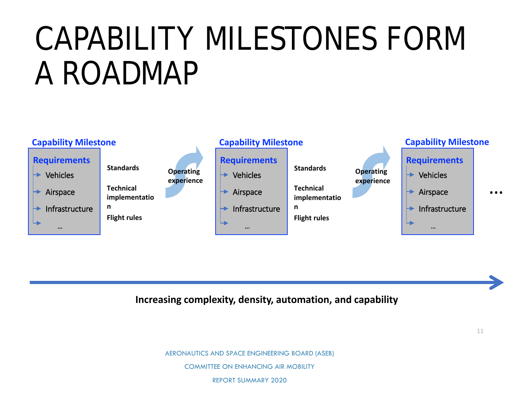## CAPABILITY MILESTONES FORM A ROADMAP



**Increasing complexity, density, automation, and capability**

AERONAUTICS AND SPACE ENGINEERING BOARD (ASEB)

COMMITTEE ON ENHANCING AIR MOBILITY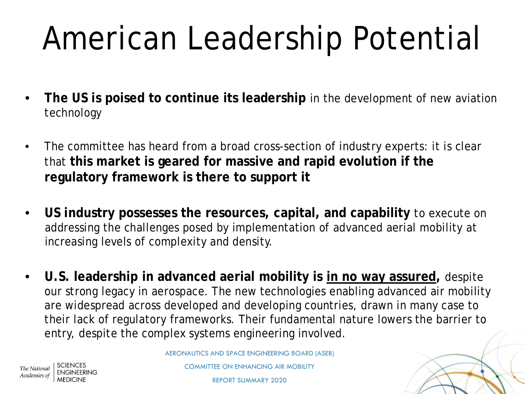# American Leadership Potential

- **The US is poised to continue its leadership** in the development of new aviation technology
- The committee has heard from a broad cross-section of industry experts: it is clear that **this market is geared for massive and rapid evolution if the regulatory framework is there to support it**
- **US industry possesses the resources, capital, and capability** to execute on addressing the challenges posed by implementation of advanced aerial mobility at increasing levels of complexity and density.
- **U.S. leadership in advanced aerial mobility is in no way assured,** despite our strong legacy in aerospace. The new technologies enabling advanced air mobility are widespread across developed and developing countries, drawn in many case to their lack of regulatory frameworks. Their fundamental nature lowers the barrier to entry, despite the complex systems engineering involved.

AERONAUTICS AND SPACE ENGINEERING BOARD (ASEB)

The National Academies of

COMMITTEE ON ENHANCING AIR MOBILITY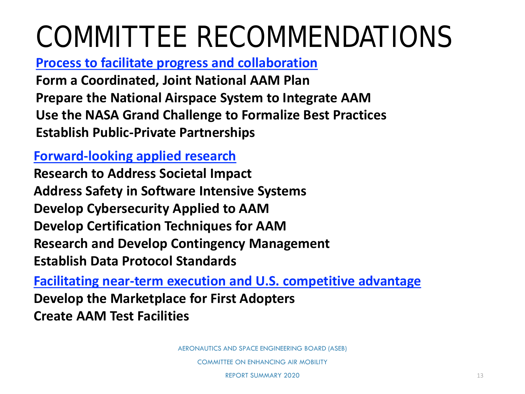### COMMITTEE RECOMMENDATIONS

**Process to facilitate progress and collaboration**

**Form a Coordinated, Joint National AAM Plan Prepare the National Airspace System to Integrate AAM Use the NASA Grand Challenge to Formalize Best Practices Establish Public-Private Partnerships**

#### **Forward-looking applied research**

**Research to Address Societal Impact Address Safety in Software Intensive Systems Develop Cybersecurity Applied to AAM Develop Certification Techniques for AAM Research and Develop Contingency Management Establish Data Protocol Standards**

**Facilitating near-term execution and U.S. competitive advantage Develop the Marketplace for First Adopters Create AAM Test Facilities**

AERONAUTICS AND SPACE ENGINEERING BOARD (ASEB)

COMMITTEE ON ENHANCING AIR MOBILITY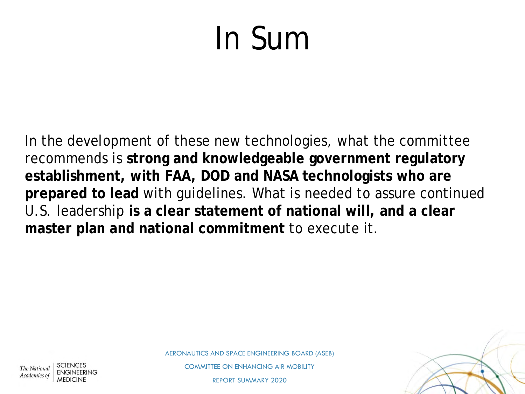## In Sum

In the development of these new technologies, what the committee recommends is **strong and knowledgeable government regulatory establishment, with FAA, DOD and NASA technologists who are prepared to lead** with guidelines. What is needed to assure continued U.S. leadership **is a clear statement of national will, and a clear master plan and national commitment** to execute it.



COMMITTEE ON ENHANCING AIR MOBILITY

REPORT SUMMARY 2020

The National Academies of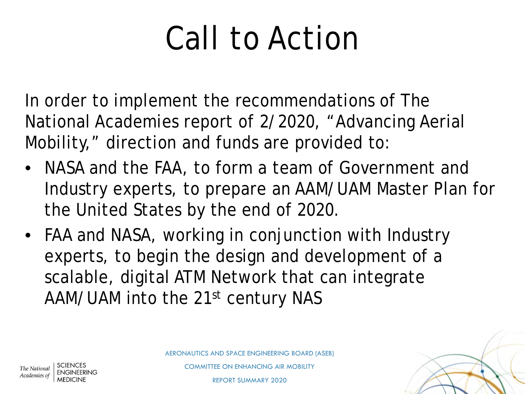# Call to Action

In order to implement the recommendations of The National Academies report of 2/2020, "Advancing Aerial Mobility," direction and funds are provided to:

- NASA and the FAA, to form a team of Government and Industry experts, to prepare an AAM/UAM Master Plan for the United States by the end of 2020.
- FAA and NASA, working in conjunction with Industry experts, to begin the design and development of a scalable, digital ATM Network that can integrate AAM/UAM into the 21st century NAS



COMMITTEE ON ENHANCING AIR MOBILITY